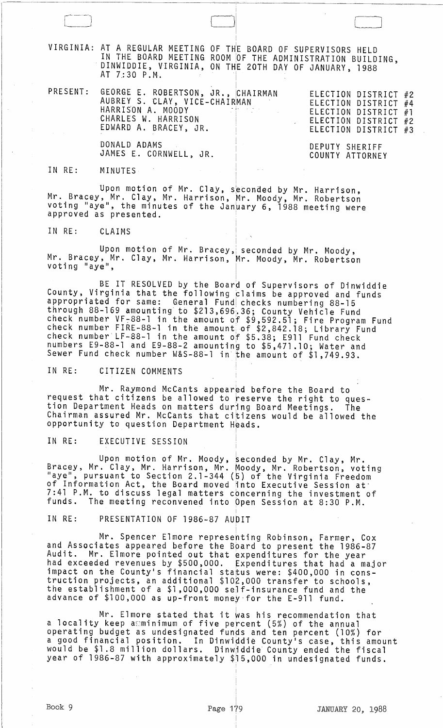VIRGINIA: AT A REGULAR MEETING OF TH IN THE BOARD MEETING DINWIDDIE, VIRGINIA, AT 7:30 P.M. OF TH'E BOARD OF SUPERVISORS HELD ROOM !OF THE ADMINISTRATION BUILDING, ON THE 20TH DAY OF JANUARY, 1988 I

|  | PRESENT: GEORGE E. ROBERTSON, JR., CHAIRMAN<br>AUBREY S. CLAY, VICE-CHAIRMAN<br>HARRISON A. MOODY ARREST MARRISON<br>CHARLES W. HARRISON<br>EDWARD A. BRACEY, JR. | ELECTION DISTRICT #2<br>ELECTION DISTRICT #4<br>ELECTION DISTRICT #1<br>ELECTION DISTRICT #2<br>ELECTION DISTRICT #3 |
|--|-------------------------------------------------------------------------------------------------------------------------------------------------------------------|----------------------------------------------------------------------------------------------------------------------|
|  | DONALD ADAMS<br>JAMES E. CORNWELL, JR.                                                                                                                            | DEPUTY SHERIFF<br>COUNTY ATTORNEY                                                                                    |

IN RE: MINUTES

Upon motion of Mr. Clay, seconded by Mr. Harrison, Mr. Bracey, Mr. Clay, Mr. Harrison, Mr. Moody, Mr. Robertson voting "aye", the minutes of the January 6, 1988 meeting were approved as presented.

IN RE: CLAIMS

Upon motion of Mr. Bracey, seconded by Mr. Moody,<br>Mr. Bracey, Mr. Clay, Mr. Harrison, Mr. Moody, Mr. Robertson voting "aye", <sup>I</sup>

BE IT RESOLVED by the Board of Supervisors of Dinwiddie County, Virginia that the following claims be approved and funds appropriated for same: General Fund checks numbering 88-15 through 88-169 amounting to \$213,696'.36; County Vehicle Fund check number VF <sup>7</sup> 88-1 in the amount *of* \$9,592.51; Fire Program Fund check number FIRE-88-1 in the amount of  $$2,842.18$ ; Library Fund check number LF-88-1 in the amount *of* \$5.38; E911 Fund check numbers E9-88-1 and E9-88-2 amounting to \$5,471.10; Water and Sewer Fund check number W&S-88-1 in'the amount of \$1,749.93.

IN RE: CITIZEN COMMENTS

Mr. Raymond McCants appeared before the Board to request that citizens be allowed to reserve the right to question Department Heads on matters during Board Meetings. The Chairman assured Mr. McCants that citizens would be allowed the opportunity to question Department Heads.

IN RE: EXECUTIVE SESSION

Upon motion of Mr. Moody, beconded by Mr. Clay, Mr. Bracey, Mr. Clay, Mr. Harrison, Mr. Moody, Mr. Robertson, voting "aye", pursuant to Section 2.1-344 (5) of the Virginia Freedom of Information Act, the Board moved into Executive Session at 7:41 P.M. to discuss legal matters concerning the investment of<br>funds. The meeting reconvened into Open Session at 8:30 P.M. The meeting reconvened into Open Session at 8:30 P.M.

IN RE: PRESENTATION OF 1986-87 AUDIT

Mr. Spencer Elmore representing Robinson, Farmer, Cox and Associates appeared before the Board to present the 1986-87<br>Audit. Mr. Elmore pointed out that expenditures for the year Audit. Mr. Elmore pointed out that expenditures for the year had exceeded revenues by \$500,000. Expenditures that had a major impact on the County's financial sta~us were: \$400,000 in construction projects, an additional \$102,000 transfer to schools, the establishment of a \$1,000,000 self-insurance fund and the advance of \$100,000 as up-front money for the E-911 fund.

i

Mr. Elmore stated that it was his recommendation that a locality keep a minimum of five percent (5%) of the annual operating budget as undesignated funds and ten percent (10%) for a good financial position. In Dinwipdie County's case, this amount would be \$1.8 million dollars. Dinwiddie County ended the fiscal year of 1986-87 with approximately \$15,000 in undesignated funds.

I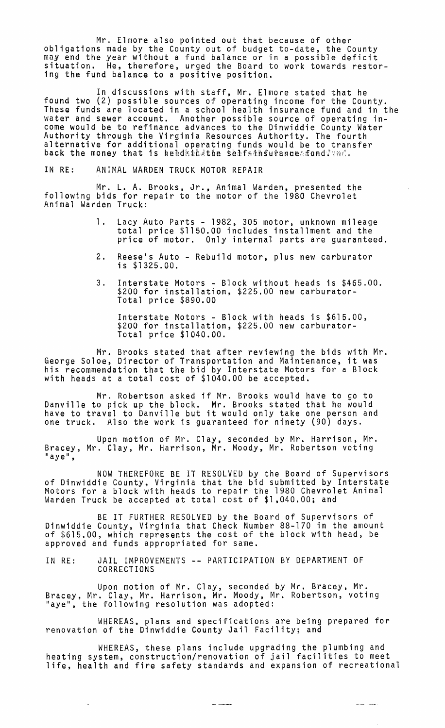Mr. Elmore also pointed out that because of other obligations made by the County out of budget to-date, the County may end the year without a fund balance or in a possible deficit situation. He, therefore, urged the Board to work towards restoring the fund balance to a positive position.

In discussions with staff, Mr. Elmore stated that he found two (2) possible sources of operating income for the County. These funds are located in a school health insurance fund and in the water and sewer account. Another possible source of operating income would be to refinance advances to the Dinwiddie County Water Authority through the Virginia Resources Authority. The fourth alternative for additional operating funds would be to transfer back the money that is beadaindthe seafsansurance fund? and.

## IN RE: ANIMAL WARDEN TRUCK MOTOR REPAIR

Mr. L. A. Brooks, Jr., Animal Warden, presented the following bids for repair to the motor of the 1980 Chevrolet Animal Warden Truck:

- 1. Lacy Auto Parts 1982, 305 motor, unknown mileage total price \$1150.00 includes installment and the price of motor. Only internal parts are guaranteed.
- 2. Reese's Auto Rebuild motor, plus new carburator is \$1325.00.
- 3. Interstate Motors Block without heads is \$465.00. \$200 for installation, \$225.00 new carburator-Total price \$890.00

Interstate Motors - Block with heads is \$615.00, \$200 for installation, \$225.00 new carburator-Total price \$1040.00.

Mr. Brooks stated that after reviewing the bids with Mr. George Soloe, Director of Transportation and Maintenance, it was his recommendation that the bid by Interstate Motors for a Block with heads at a total cost of \$1040.00 be accepted.

Mr. Robertson asked if Mr. Brooks would have to go to Danville to pick up the block. Mr. Brooks stated that he would have to travel to Danville but it would only take one person and one truck. Also the work is guaranteed for ninety (90) days.

Upon motion of Mr. Clay, seconded by Mr. Harrison, Mr. Bracey, Mr. Clay, Mr. Harrison, Mr. Moody, Mr. Robertson voting<br>"aye",

NOW THEREFORE BE IT RESOLVED by the Board of Supervisors of Dinwiddie County, Virginia that the bid submitted by Interstate Motors for a block with heads to repair the 1980 Chevrolet Animal Warden Truck be accepted at total cost of \$1,040.00; and

BE IT FURTHER RESOLVED by the Board of Supervisors of Dinwiddie County, Virginia that Check Number 88-170 in the amount of \$615.00, which represents the cost of the block with head, be approved and funds appropriated for same.

IN RE: JAIL IMPROVEMENTS -- PARTICIPATION BY DEPARTMENT OF CORRECTIONS

 $\sim$   $\sim$ 

Upon motion of Mr. Clay, seconded by Mr. Bracey, Mr. Bracey, Mr. Clay, Mr. Harrison, Mr. Moody, Mr. Robertson, voting "aye", the following resolution was adopted:

WHEREAS, plans and specifications are being prepared for renovation of the Dinwiddie County Jail Facility; and

WHEREAS, these plans include upgrading the plumbing and heating system, construction/renovation of jail facilities to meet life, health and fire safety standards and expansion of recreational

 $\sim$   $\sim$   $\sim$   $\sim$   $\sim$   $\sim$ 

 $\sim$  and  $\sim$   $\sim$   $\sim$   $\sim$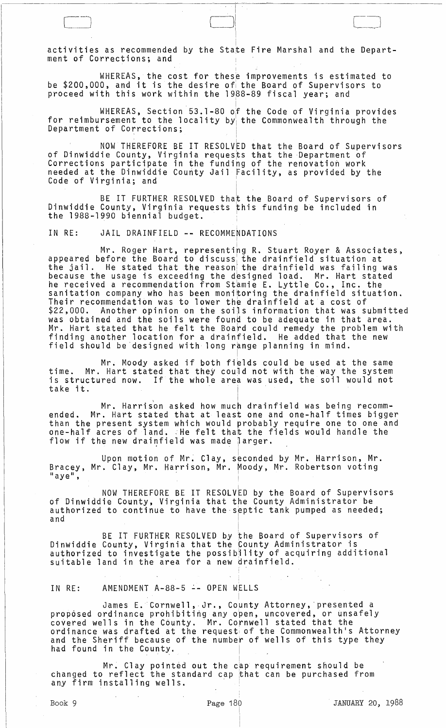activities as recommended by the Sta<mark>te Fire Marshal and the Depart-</mark> ment of Corrections; and

WHEREAS, the cost for these improvements is estimated to be \$200,000, and it is the desire of the Board of Supervisors to proceed with this work within the 1988-89 fiscal year; and

WHEREAS, Section 53.1-80 of the Code of Virginia provides for reimbursement to the locality by the Commonwealth through the Department of Corrections;

. I NOW THEREFORE BE IT RESOLVED that the Board of Supervisors of Dinwiddie County, Virginia requests that the Department of Corrections participate in the funding of the renovation work needed at the Dinwiddie County Jail Facility, as provided by the Code of Virginia; and

I

i

BE IT FURTHER RESOLVED that the Board of Supervisors of Dinwiddie County, Virginia requests this funding be included in the 1988-1990 biennial budget.

IN RE: JAIL DRAINFIELD -- RECOMMENDATIONS

Mr. Roger Hart, representing R. Stuart Royer & Associates, appeared before the Board to discuss the drainfield situation at appeared before the board to diseass the drainfield vas failing was the jail. He stated that the reason the drainfield was failing was because the usage is exceeding the designed load. Mr. Hart stated he received a recommendation from Stamie E. Lyttle Co., Inc. the sanitation company who has been monitoring the drainfield situation. Their recommendation was to lower the drainfield at a cost of \$22,000. Another opinion on the soils information that was submitted was obtained and the soils were found to be adequate in that area. Mr. Hart stated that he felt the Board could remedy the problem with finding another location for a drainfield. He added that the new field should be designed with long range planning in mind.

Mr. Moody asked if both fields could be used at the same time. Mr. Hart stated that they could not with the way the system is structured now. If the whole area was used, the soil would not take it.

Mr. Harrison asked how much drainfield was being recommended. Mr. Hart stated that at least one and one-half times bigger than the present system which would probably require one to one and one-half acres of land. :He felt that the fields would handle the flow if the new drainfield was made larger.

Upon motion of Mr. Clay, seconded by Mr. Harrison, Mr. Bracey, Mr. Clay, Mr. Harrison, Mr. Moody, Mr. Robertson voting<br>"aye",

NOW THEREFORE BE IT RESOLVED by the Board of Supervisors of Dinwiddie County, Virginia that the County Administrator be authorized to continue to have the septic tank pumped as needed;<br>and  $\mathsf{and} \mathsf{and} \mathsf{and} \mathsf{and} \mathsf{and} \mathsf{and} \mathsf{and} \mathsf{and} \mathsf{and} \mathsf{and} \mathsf{and} \mathsf{and} \mathsf{and} \mathsf{and} \mathsf{and} \mathsf{and} \mathsf{and} \mathsf{and} \mathsf{and} \mathsf{and} \mathsf{and} \mathsf{and} \mathsf{and} \mathsf{and} \mathsf{and} \mathsf{and} \mathsf{and} \mathsf{and} \mathsf{and} \mathsf{and} \mathsf{and} \mathsf{and} \mathsf{and} \mathsf{and} \mathsf{and} \mathsf{and} \mathsf{$ 

i

I

BE IT FURTHER RESOLVED by the Board of Supervisors of Dinwiddie County, Virginia that the County Administrator is authorized to investigate the possibility of acquiring additional suitable land in the area for a new drainfield.

IN RE: AMENDMENT A-88-5 -- OPEN WELLS

James E.' Cornwell,· Jr., County Attorney,' presented a proposed ordinance prohibiting any open, uncovered, or unsafely covered wells in the County. Mr. Cornwell stated that the ordinance was drafted at the request, of the Commonwealth's Attorney and the Sheriff because of the number of wells of this type they had found in the County.

Mr. Clay pointed out the cap requirement should be changed to reflect the standard cap that can be purchased from Mr. Clay pointed out the cap<br>changed to reflect the standard cap th<br>any firm installing wells.

I I  $\Box$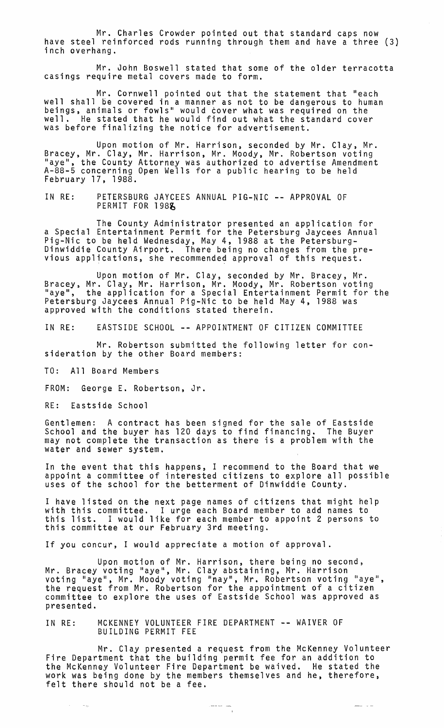Mr. Charles Crowder pointed out that standard caps now have steel reinforced rods running through them and have a three (3) inch overhang.

Mr. John Boswell stated that some of the older terracotta casings require metal covers made to form.

Mr. Cornwell pointed out that the statement that "each well shall be covered in a manner as not to be dangerous to human beings, animals or fowls" would cover what was required on the well. He stated that he would find out what the standard cover was before finalizing the notice for advertisement.

Upon motion of Mr. Harrison, seconded by Mr. Clay, Mr. Bracey, Mr. Clay, Mr. Harrison, Mr. Moody, Mr. Robertson voting "aye", the County Attorney was authorized to advertise Amendment A-88-5 concerning Open Wells for a public hearing to be held February 17, 1988.

IN RE: PETERSBURG JAYCEES ANNUAL PIG-NIC -- APPROVAL OF PERMIT FOR 1988

The County Administrator presented an application for a Special Entertainment Permit for the Petersburg Jaycees Annual Pig-Nic to be held Wednesday, May 4, 1988 at the Petersburg- Dinwiddie County Airport. There being no changes from the pre- vious applications, she recommende~ approval of this request.

Upon motion of Mr. Clay, seconded by Mr. Bracey, Mr.<br>Bracey, Mr. Clay, Mr. Harrison, Mr. Moody, Mr. Robertson voting "aye", the application for a Special Entertainment Permit for the Petersburg Jaycees Annual Pig-Nic to be held May 4, 1988 was approved with the conditions stated therein.

IN RE: EASTSIDE SCHOOL -- APPOINTMENT OF CITIZEN COMMITTEE

Mr. Robertson submitted the following letter for consideration by the other Board members:

TO: All Board Members

FROM: George E. Robertson, Jr.

RE: Eastside School

Service Republic

Gentlemen: A contract has been signed for the sale of Eastside School and the buyer has 120 days to find financing. The Buyer may not complete the transaction as there is a problem with the water and sewer system.

In the event that this happens, I recommend to the Board that we appoint a committee of interested citizens to explore all possible uses of the school for the betterment of Dinwiddie County.

I have listed on the next page names of citizens that might help with this committee. I urge each Board member to add names to this list. I would like for each member to appoint 2 persons to this committee at our February 3rd meeting.

If you concur, I would appreciate a motion of approval.

Upon motion of Mr. Harrison, there being no second, Mr. Bracey voting "aye", Mr. Clay abstaining, Mr. Harrison voting "aye", Mr. Moody voting "nay", Mr. Robertson voting "aye",<br>the request from Mr. Robertson for the appointment of a citizen committee to explore the uses of Eastside School was approved as presented.

IN RE: MCKENNEY VOLUNTEER FIRE DEPARTMENT -- WAIVER OF BUILDING PERMIT FEE

Mr. Clay presented a request from the McKenney Volunteer Fire Department that the building permit fee for an addition to the McKenney Volunteer Fire Department be waived. He stated the work was being done by the members themselves and he, therefore, felt there should not be a fee.

 $\frac{1}{1}$ 

د د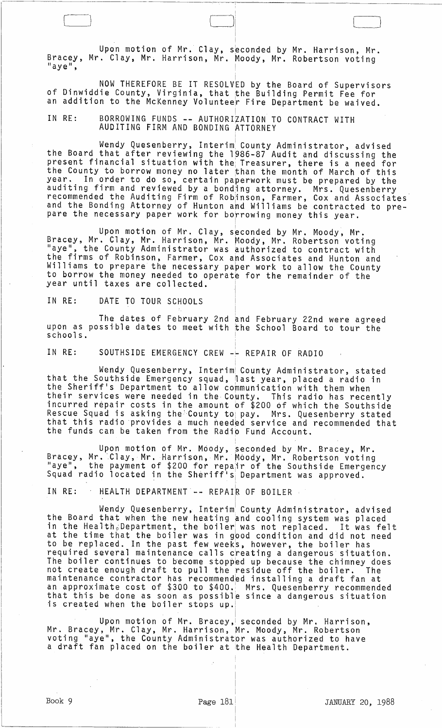Upon motion of Mr. Clay, seconded by Mr. Harrison, Mr. Bracey, Mr. Clay, Mr. Harrison, Mr. Moody, Mr. Robertson voting<br>"aye",

 $\Box$ 

NOW THEREFORE BE IT RESOLVED by the Board of Supervisors of Dinwiddie County, Virginia, that the Building Permit Fee for an addition to the McKenney Volunteer Fire Department be waived.

! IN RE: BORROWING FUNDS **--** AUTHORIZATION TO CONTRACT WITH AUDITING FIRM AND BONDING ATTORNEY

Wendy Quesenberry, Interim~ County Administrator, advised the Board that after reviewing the 1986-87 Audit and discussing the present financial situation with the; Treasurer, there is a need for the County to borrow money no later than the month of March of this year. In order to do so, certain paperwork must be prepared by the auditing firm and reviewed by a bonding attorney. Mrs. Quesenberry recommended the Auditing Firm of Robinson, Farmer, Cox and Associates and the Bonding Attorney of Hunton and Williams be contracted to prepare the necessary paper work for borrowing money this year.

Upon motion of Mr. Clay, seconded by Mr. Moody, Mr. Bracey, Mr. Clay, Mr. Harrison, Mr. Moody, Mr. Robertson voting "aye", the County Administrator was authorized to contract with the firms of Robinson, Farmer, Cox and Associates and Hunton and Williams to prepare the necessary paper work to allow the County to borrow the money needed to operate for the remainder of the year until taxes are collected.

IN RE: DATE TO TOUR SCHOOLS

The dates of February 2nd and February 22nd were agreed<br>ssible dates to meet with the School Board to tour the upon as possible dates to meet with the schools. I

I I

i

IN RE: SOUTHSIDE EMERGENCY CREW -- REPAIR OF RADIO

Wendy Quesenberry, Interim County Administrator, stated that the Southside Emergency squad, nast year, placed a radio in the Sheriff's Department to allow communication with them when their services were needed in the County. This radio has recently incurred repair costs in the amount of \$200 of which the Southside Rescue Squad is asking the County to pay. Mrs. Quesenberry stated that this radio provides a much needed service and recommended that the funds can be taken from the Radio Fund Account.

Upon motion of Mr. Moody, seconded by Mr. Bracey, Mr. Bracey, Mr. Clay, Mr. Harrison, Mr. Moody, Mr. Robertson voting "aye", the payment of \$200 for repair of the Southside Emergency<br>Squad radio located in the Sheriff's Department was approved.

IN RE: IHEALTH DEPARTMENT -- REPAIR OF BOILER . In the contract of the contract of the contract of the contract of the contract of the contract of the contract of

Wendy Quesenberry, Interim County Administrator, advised the Board that when the new heating and cooling system was placed in the Health, Department, the boiler was not replaced. It was felt at the time that the boiler was in gpod condition and did not need to be replaced. In the past few weeks, however, the boiler has required several maintenance calls creating a dangerous situation. The boiler continues to become stopped up because the chimney does not create enough draft to pull the residue off the boiler. The maintenance contractor has recommended installing a draft fan at an approximate cost of \$300 to \$400. Mrs. Quesenberry recommended that this be done as soon as possible since a dangerous situation is created when the boiler stops up.

Upon motion of Mr. Bracey, seconded by Mr. Harrison, Mr. Bracey, Mr. Clay, Mr. Harrison, Mr. Moody, Mr. Robertson voting "aye", the County Administrator was authorized to have a draft fan placed on the boiler at the Health Department.